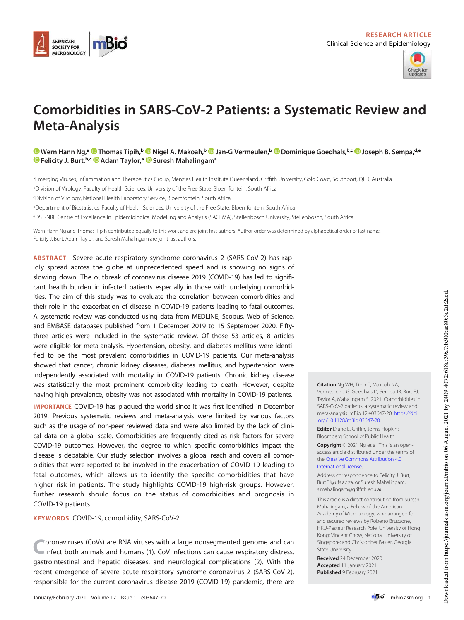



# Comorbidities in SARS-CoV-2 Patients: a Systematic Review and Meta-Analysis

Wern Hann Ng,ª © Thomas Tipih,ʰ © Nigel A. Makoah,ʰ © Jan-G Vermeulen,ʰ © Dominique Goedhals,ʰ^ © Joseph B. Sempa,de Felicity J. Burt, b.c **D** Adam Taylor,<sup>a</sup> © Suresh Mahalingam<sup>a</sup>

<sup>a</sup>Emerging Viruses, Inflammation and Therapeutics Group, Menzies Health Institute Queensland, Griffith University, Gold Coast, Southport, QLD, Australia

<sup>b</sup>Division of Virology, Faculty of Health Sciences, University of the Free State, Bloemfontein, South Africa

<sup>c</sup>Division of Virology, National Health Laboratory Service, Bloemfontein, South Africa

<sup>d</sup>Department of Biostatistics, Faculty of Health Sciences, University of the Free State, Bloemfontein, South Africa

<sup>e</sup>DST-NRF Centre of Excellence in Epidemiological Modelling and Analysis (SACEMA), Stellenbosch University, Stellenbosch, South Africa

Wern Hann Ng and Thomas Tipih contributed equally to this work and are joint first authors. Author order was determined by alphabetical order of last name. Felicity J. Burt, Adam Taylor, and Suresh Mahalingam are joint last authors.

ABSTRACT Severe acute respiratory syndrome coronavirus 2 (SARS-CoV-2) has rapidly spread across the globe at unprecedented speed and is showing no signs of slowing down. The outbreak of coronavirus disease 2019 (COVID-19) has led to significant health burden in infected patients especially in those with underlying comorbidities. The aim of this study was to evaluate the correlation between comorbidities and their role in the exacerbation of disease in COVID-19 patients leading to fatal outcomes. A systematic review was conducted using data from MEDLINE, Scopus, Web of Science, and EMBASE databases published from 1 December 2019 to 15 September 2020. Fiftythree articles were included in the systematic review. Of those 53 articles, 8 articles were eligible for meta-analysis. Hypertension, obesity, and diabetes mellitus were identified to be the most prevalent comorbidities in COVID-19 patients. Our meta-analysis showed that cancer, chronic kidney diseases, diabetes mellitus, and hypertension were independently associated with mortality in COVID-19 patients. Chronic kidney disease was statistically the most prominent comorbidity leading to death. However, despite having high prevalence, obesity was not associated with mortality in COVID-19 patients.

IMPORTANCE COVID-19 has plagued the world since it was first identified in December 2019. Previous systematic reviews and meta-analysis were limited by various factors such as the usage of non-peer reviewed data and were also limited by the lack of clinical data on a global scale. Comorbidities are frequently cited as risk factors for severe COVID-19 outcomes. However, the degree to which specific comorbidities impact the disease is debatable. Our study selection involves a global reach and covers all comorbidities that were reported to be involved in the exacerbation of COVID-19 leading to fatal outcomes, which allows us to identify the specific comorbidities that have higher risk in patients. The study highlights COVID-19 high-risk groups. However, further research should focus on the status of comorbidities and prognosis in COVID-19 patients.

KEYWORDS COVID-19, comorbidity, SARS-CoV-2

C oronaviruses (CoVs) are RNA viruses with a large nonsegmented genome and can infect both animals and humans (1). CoV infections can cause respiratory distress, gastrointestinal and hepatic diseases, and neurological complications (2). With the recent emergence of severe acute respiratory syndrome coronavirus 2 (SARS-CoV-2), responsible for the current coronavirus disease 2019 (COVID-19) pandemic, there are Citation Ng WH, Tipih T, Makoah NA, Vermeulen J-G, Goedhals D, Sempa JB, Burt FJ, Taylor A, Mahalingam S. 2021. Comorbidities in SARS-CoV-2 patients: a systematic review and meta-analysis. mBio 12:e03647-20. https://doi .org/10.1128/mBio.03647-20.

Editor Diane E. Griffin, Johns Hopkins Bloomberg School of Public Health

Copyright © 2021 Ng et al. This is an openaccess article distributed under the terms of the Creative Commons Attribution 4.0 International license.

Address correspondence to Felicity J. Burt, BurtFJ@ufs.ac.za, or Suresh Mahalingam, s.mahalingam@griffith.edu.au.

This article is a direct contribution from Suresh Mahalingam, a Fellow of the American Academy of Microbiology, who arranged for and secured reviews by Roberto Bruzzone, HKU-Pasteur Research Pole, University of Hong Kong; Vincent Chow, National University of Singapore; and Christopher Basler, Georgia State University.

Received 24 December 2020 Accepted 11 January 2021 Published 9 February 2021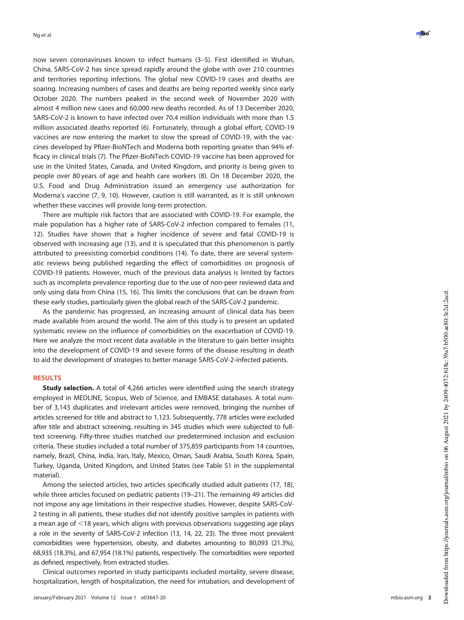now seven coronaviruses known to infect humans (3 –5). First identi fied in Wuhan, China, SARS-CoV-2 has since spread rapidly around the globe with over 210 countries and territories reporting infections. The global new COVID-19 cases and deaths are soaring. Increasing numbers of cases and deaths are being reported weekly since early October 2020. The numbers peaked in the second week of November 2020 with almost 4 million new cases and 60,000 new deaths recorded. As of 13 December 2020, SARS-CoV-2 is known to have infected over 70.4 million individuals with more than 1.5 million associated deaths reported (6). Fortunately, through a global effort, COVID-19 vaccines are now entering the market to slow the spread of COVID-19, with the vaccines developed by Pfizer-BioNTech and Moderna both reporting greater than 94% ef ficacy in clinical trials (7). The Pfizer-BioNTech COVID-19 vaccine has been approved for use in the United States, Canada, and United Kingdom, and priority is being given to people over 80 years of age and health care workers (8). On 18 December 2020, the U.S. Food and Drug Administration issued an emergency use authorization for Moderna 's vaccine (7, 9, 10). However, caution is still warranted, as it is still unknown whether these vaccines will provide long-term protection.

There are multiple risk factors that are associated with COVID-19. For example, the male population has a higher rate of SARS-CoV-2 infection compared to females (11, 12). Studies have shown that a higher incidence of severe and fatal COVID-19 is observed with increasing age (13), and it is speculated that this phenomenon is partly attributed to preexisting comorbid conditions (14). To date, there are several systematic reviews being published regarding the effect of comorbidities on prognosis of COVID-19 patients. However, much of the previous data analysis is limited by factors such as incomplete prevalence reporting due to the use of non-peer reviewed data and only using data from China (15, 16). This limits the conclusions that can be drawn from these early studies, particularly given the global reach of the SARS-CoV-2 pandemic.

As the pandemic has progressed, an increasing amount of clinical data has been made available from around the world. The aim of this study is to present an updated systematic review on the influence of comorbidities on the exacerbation of COVID-19. Here we analyze the most recent data available in the literature to gain better insights into the development of COVID-19 and severe forms of the disease resulting in death to aid the development of strategies to better manage SARS-CoV-2-infected patients.

### RESULTS

Study selection. A total of 4,266 articles were identified using the search strategy employed in MEDLINE, Scopus, Web of Science, and EMBASE databases. A total number of 3,143 duplicates and irrelevant articles were removed, bringing the number of articles screened for title and abstract to 1,123. Subsequently, 778 articles were excluded after title and abstract screening, resulting in 345 studies which were subjected to fulltext screening. Fifty-three studies matched our predetermined inclusion and exclusion criteria. These studies included a total number of 375,859 participants from 14 countries, namely, Brazil, China, India, Iran, Italy, Mexico, Oman, Saudi Arabia, South Korea, Spain, Turkey, Uganda, United Kingdom, and United States (see Table S1 in the supplemental material).

Among the selected articles, two articles speci fically studied adult patients (17, 18), while three articles focused on pediatric patients (19 –21). The remaining 49 articles did not impose any age limitations in their respective studies. However, despite SARS-CoV-2 testing in all patients, these studies did not identify positive samples in patients with a mean age of  $\leq$ 18 years, which aligns with previous observations suggesting age plays a role in the severity of SARS-CoV-2 infection (13, 14, 22, 23). The three most prevalent comorbidities were hypertension, obesity, and diabetes amounting to 80,093 (21.3%), 68,935 (18.3%), and 67,954 (18.1%) patients, respectively. The comorbidities were reported as de fined, respectively, from extracted studies.

Clinical outcomes reported in study participants included mortality, severe disease, hospitalization, length of hospitalization, the need for intubation, and development of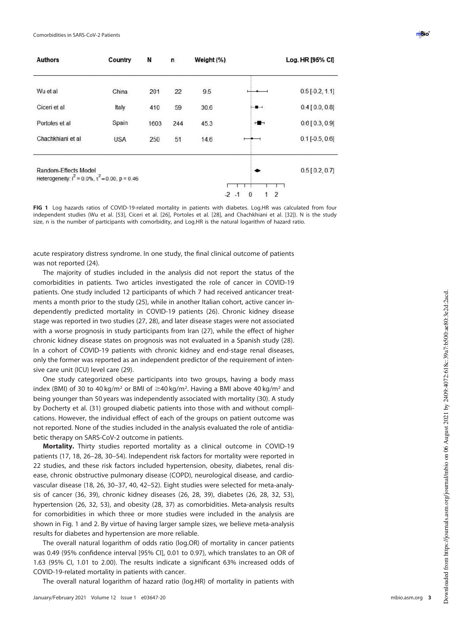| <b>Authors</b>                                                                    | Country    | N    | n   | Weight $(\%)$ |                                                     | Log. HR [95% CI]  |
|-----------------------------------------------------------------------------------|------------|------|-----|---------------|-----------------------------------------------------|-------------------|
| Wu et al                                                                          | China      | 201  | 22  | 9.5           |                                                     | $0.5$ [-0.2, 1.1] |
| Ciceri et al                                                                      | Italy      | 410  | 59  | 30.6          | $-$                                                 | $0.4$ [0.0, 0.8]  |
| Portoles et al                                                                    | Spain      | 1603 | 244 | 45.3          | $\frac{1}{2}$                                       | $0.6$ [0.3, 0.9]  |
| Chachkhiani et al                                                                 | <b>USA</b> | 250  | 51  | 14.6          |                                                     | $0.1$ [-0.5, 0.6] |
| Random-Effects Model<br>Heterogeneity: $I^2 = 0.0\%$ , $\tau^2 = 0.00$ , p = 0.46 |            |      |     |               |                                                     | $0.5$ [0.2, 0.7]  |
|                                                                                   |            |      |     |               | $\overline{2}$<br>$-2$<br>$\mathbf{0}$<br>$-1$<br>1 |                   |

FIG 1 Log hazards ratios of COVID-19-related mortality in patients with diabetes. Log.HR was calculated from four independent studies (Wu et al. [53], Ciceri et al. [26], Portoles et al. [28], and Chachkhiani et al. [32]). N is the study size, n is the number of participants with comorbidity, and Log.HR is the natural logarithm of hazard ratio.

acute respiratory distress syndrome. In one study, the final clinical outcome of patients was not reported (24).

The majority of studies included in the analysis did not report the status of the comorbidities in patients. Two articles investigated the role of cancer in COVID-19 patients. One study included 12 participants of which 7 had received anticancer treatments a month prior to the study (25), while in another Italian cohort, active cancer independently predicted mortality in COVID-19 patients (26). Chronic kidney disease stage was reported in two studies (27, 28), and later disease stages were not associated with a worse prognosis in study participants from Iran (27), while the effect of higher chronic kidney disease states on prognosis was not evaluated in a Spanish study (28). In a cohort of COVID-19 patients with chronic kidney and end-stage renal diseases, only the former was reported as an independent predictor of the requirement of intensive care unit (ICU) level care (29).

One study categorized obese participants into two groups, having a body mass index (BMI) of 30 to 40 kg/m<sup>2</sup> or BMI of  $\geq$ 40 kg/m<sup>2</sup>. Having a BMI above 40 kg/m<sup>2</sup> and being younger than 50 years was independently associated with mortality (30). A study by Docherty et al. (31) grouped diabetic patients into those with and without complications. However, the individual effect of each of the groups on patient outcome was not reported. None of the studies included in the analysis evaluated the role of antidiabetic therapy on SARS-CoV-2 outcome in patients.

Mortality. Thirty studies reported mortality as a clinical outcome in COVID-19 patients (17, 18, 26–28, 30–54). Independent risk factors for mortality were reported in 22 studies, and these risk factors included hypertension, obesity, diabetes, renal disease, chronic obstructive pulmonary disease (COPD), neurological disease, and cardiovascular disease (18, 26, 30–37, 40, 42–52). Eight studies were selected for meta-analysis of cancer (36, 39), chronic kidney diseases (26, 28, 39), diabetes (26, 28, 32, 53), hypertension (26, 32, 53), and obesity (28, 37) as comorbidities. Meta-analysis results for comorbidities in which three or more studies were included in the analysis are shown in Fig. 1 and 2. By virtue of having larger sample sizes, we believe meta-analysis results for diabetes and hypertension are more reliable.

The overall natural logarithm of odds ratio (log.OR) of mortality in cancer patients was 0.49 (95% confidence interval [95% CI], 0.01 to 0.97), which translates to an OR of 1.63 (95% CI, 1.01 to 2.00). The results indicate a significant 63% increased odds of COVID-19-related mortality in patients with cancer.

The overall natural logarithm of hazard ratio (log.HR) of mortality in patients with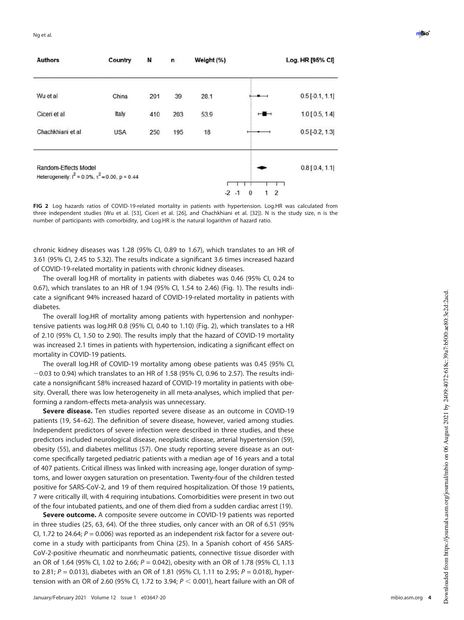| <b>Authors</b>                                                                    | Country    | N   | n   | Weight (%) |                                            | Log. HR [95% CI]  |
|-----------------------------------------------------------------------------------|------------|-----|-----|------------|--------------------------------------------|-------------------|
| Wu et al                                                                          | China      | 201 | 39  | 28.1       |                                            | $0.5$ [-0.1, 1.1] |
| Ciceri et al                                                                      | Italy      | 410 | 203 | 53.9       | $\overline{\phantom{a}}$                   | $1.0$ [ 0.5, 1.4] |
| Chachkhiani et al                                                                 | <b>USA</b> | 250 | 195 | 18         |                                            | $0.5$ [-0.2, 1.3] |
| Random-Effects Model<br>Heterogeneity: $I^2 = 0.0\%$ , $\tau^2 = 0.00$ , p = 0.44 |            |     |     |            | $-2$<br>$\overline{2}$<br>$\Omega$<br>$-1$ | $0.8$ [0.4, 1.1]  |

FIG 2 Log hazards ratios of COVID-19-related mortality in patients with hypertension. Log.HR was calculated from three independent studies (Wu et al. [53], Ciceri et al. [26], and Chachkhiani et al. [32]). N is the study size, n is the number of participants with comorbidity, and Log.HR is the natural logarithm of hazard ratio.

chronic kidney diseases was 1.28 (95% CI, 0.89 to 1.67), which translates to an HR of 3.61 (95% CI, 2.45 to 5.32). The results indicate a significant 3.6 times increased hazard of COVID-19-related mortality in patients with chronic kidney diseases.

The overall log.HR of mortality in patients with diabetes was 0.46 (95% CI, 0.24 to 0.67), which translates to an HR of 1.94 (95% CI, 1.54 to 2.46) (Fig. 1). The results indicate a significant 94% increased hazard of COVID-19-related mortality in patients with diabetes.

The overall log.HR of mortality among patients with hypertension and nonhypertensive patients was log.HR 0.8 (95% CI, 0.40 to 1.10) (Fig. 2), which translates to a HR of 2.10 (95% CI, 1.50 to 2.90). The results imply that the hazard of COVID-19 mortality was increased 2.1 times in patients with hypertension, indicating a significant effect on mortality in COVID-19 patients.

The overall log.HR of COVID-19 mortality among obese patients was 0.45 (95% CI,  $-0.03$  to 0.94) which translates to an HR of 1.58 (95% CI, 0.96 to 2.57). The results indicate a nonsignificant 58% increased hazard of COVID-19 mortality in patients with obesity. Overall, there was low heterogeneity in all meta-analyses, which implied that performing a random-effects meta-analysis was unnecessary.

Severe disease. Ten studies reported severe disease as an outcome in COVID-19 patients (19, 54–62). The definition of severe disease, however, varied among studies. Independent predictors of severe infection were described in three studies, and these predictors included neurological disease, neoplastic disease, arterial hypertension (59), obesity (55), and diabetes mellitus (57). One study reporting severe disease as an outcome specifically targeted pediatric patients with a median age of 16 years and a total of 407 patients. Critical illness was linked with increasing age, longer duration of symptoms, and lower oxygen saturation on presentation. Twenty-four of the children tested positive for SARS-CoV-2, and 19 of them required hospitalization. Of those 19 patients, 7 were critically ill, with 4 requiring intubations. Comorbidities were present in two out of the four intubated patients, and one of them died from a sudden cardiac arrest (19).

Severe outcome. A composite severe outcome in COVID-19 patients was reported in three studies (25, 63, 64). Of the three studies, only cancer with an OR of 6.51 (95% CI, 1.72 to 24.64;  $P = 0.006$ ) was reported as an independent risk factor for a severe outcome in a study with participants from China (25). In a Spanish cohort of 456 SARS-CoV-2-positive rheumatic and nonrheumatic patients, connective tissue disorder with an OR of 1.64 (95% Cl, 1.02 to 2.66;  $P = 0.042$ ), obesity with an OR of 1.78 (95% Cl, 1.13 to 2.81;  $P = 0.013$ ), diabetes with an OR of 1.81 (95% CI, 1.11 to 2.95;  $P = 0.018$ ), hypertension with an OR of 2.60 (95% CI, 1.72 to 3.94;  $P < 0.001$ ), heart failure with an OR of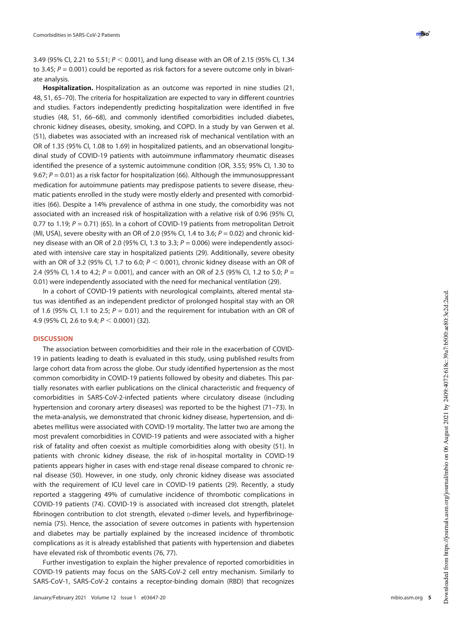3.49 (95% Cl, 2.21 to 5.51;  $P < 0.001$ ), and lung disease with an OR of 2.15 (95% Cl, 1.34 to 3.45;  $P = 0.001$ ) could be reported as risk factors for a severe outcome only in bivariate analysis.

Hospitalization. Hospitalization as an outcome was reported in nine studies (21, 48, 51, 65 –70). The criteria for hospitalization are expected to vary in different countries and studies. Factors independently predicting hospitalization were identi fied in five studies (48, 51, 66 –68), and commonly identi fied comorbidities included diabetes, chronic kidney diseases, obesity, smoking, and COPD. In a study by van Gerwen et al. (51), diabetes was associated with an increased risk of mechanical ventilation with an OR of 1.35 (95% CI, 1.08 to 1.69) in hospitalized patients, and an observational longitudinal study of COVID-19 patients with autoimmune inflammatory rheumatic diseases identi fied the presence of a systemic autoimmune condition (OR, 3.55; 95% CI, 1.30 to 9.67; P = 0.01) as a risk factor for hospitalization (66). Although the immunosuppressant medication for autoimmune patients may predispose patients to severe disease, rheumatic patients enrolled in the study were mostly elderly and presented with comorbidities (66). Despite a 14% prevalence of asthma in one study, the comorbidity was not associated with an increased risk of hospitalization with a relative risk of 0.96 (95% CI, 0.77 to 1.19; P = 0.71) (65). In a cohort of COVID-19 patients from metropolitan Detroit (MI, USA), severe obesity with an OR of 2.0 (95% CI, 1.4 to 3.6;  $P = 0.02$ ) and chronic kidney disease with an OR of 2.0 (95% CI, 1.3 to 3.3;  $P = 0.006$ ) were independently associated with intensive care stay in hospitalized patients (29). Additionally, severe obesity with an OR of 3.2 (95% CI, 1.7 to 6.0;  $P < 0.001$ ), chronic kidney disease with an OR of 2.4 (95% Cl, 1.4 to 4.2;  $P = 0.001$ ), and cancer with an OR of 2.5 (95% Cl, 1.2 to 5.0;  $P =$ 0.01) were independently associated with the need for mechanical ventilation (29).

In a cohort of COVID-19 patients with neurological complaints, altered mental status was identified as an independent predictor of prolonged hospital stay with an OR of 1.6 (95% CI, 1.1 to 2.5;  $P = 0.01$ ) and the requirement for intubation with an OR of 4.9 (95% Cl, 2.6 to 9.4;  $P < 0.0001$ ) (32).

## **DISCUSSION**

The association between comorbidities and their role in the exacerbation of COVID-19 in patients leading to death is evaluated in this study, using published results from large cohort data from across the globe. Our study identi fied hypertension as the most common comorbidity in COVID-19 patients followed by obesity and diabetes. This partially resonates with earlier publications on the clinical characteristic and frequency of comorbidities in SARS-CoV-2-infected patients where circulatory disease (including hypertension and coronary artery diseases) was reported to be the highest (71 –73). In the meta-analysis, we demonstrated that chronic kidney disease, hypertension, and diabetes mellitus were associated with COVID-19 mortality. The latter two are among the most prevalent comorbidities in COVID-19 patients and were associated with a higher risk of fatality and often coexist as multiple comorbidities along with obesity (51). In patients with chronic kidney disease, the risk of in-hospital mortality in COVID-19 patients appears higher in cases with end-stage renal disease compared to chronic renal disease (50). However, in one study, only chronic kidney disease was associated with the requirement of ICU level care in COVID-19 patients (29). Recently, a study reported a staggering 49% of cumulative incidence of thrombotic complications in COVID-19 patients (74). COVID-19 is associated with increased clot strength, platelet fibrinogen contribution to clot strength, elevated p-dimer levels, and hyperfibrinogenemia (75). Hence, the association of severe outcomes in patients with hypertension and diabetes may be partially explained by the increased incidence of thrombotic complications as it is already established that patients with hypertension and diabetes have elevated risk of thrombotic events (76, 77).

Further investigation to explain the higher prevalence of reported comorbidities in COVID-19 patients may focus on the SARS-CoV-2 cell entry mechanism. Similarly to SARS-CoV-1, SARS-CoV-2 contains a receptor-binding domain (RBD) that recognizes

mbio.asm.org 5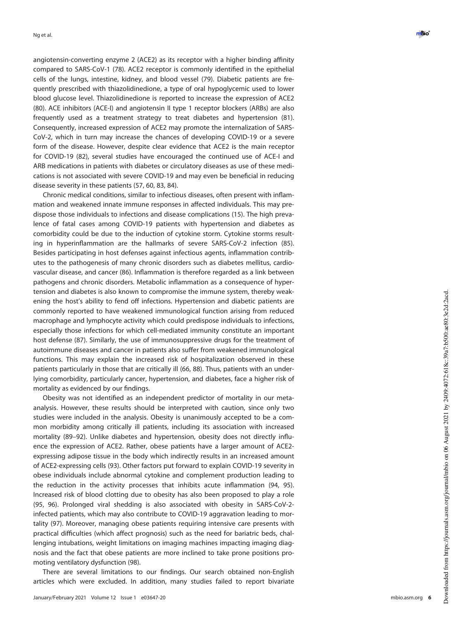angiotensin-converting enzyme 2 (ACE2) as its receptor with a higher binding affinity compared to SARS-CoV-1 (78). ACE2 receptor is commonly identi fied in the epithelial cells of the lungs, intestine, kidney, and blood vessel (79). Diabetic patients are frequently prescribed with thiazolidinedione, a type of oral hypoglycemic used to lower blood glucose level. Thiazolidinedione is reported to increase the expression of ACE2 (80). ACE inhibitors (ACE-I) and angiotensin II type 1 receptor blockers (ARBs) are also frequently used as a treatment strategy to treat diabetes and hypertension (81). Consequently, increased expression of ACE2 may promote the internalization of SARS-CoV-2, which in turn may increase the chances of developing COVID-19 or a severe form of the disease. However, despite clear evidence that ACE2 is the main receptor for COVID-19 (82), several studies have encouraged the continued use of ACE-I and ARB medications in patients with diabetes or circulatory diseases as use of these medications is not associated with severe COVID-19 and may even be beneficial in reducing disease severity in these patients (57, 60, 83, 84).

Chronic medical conditions, similar to infectious diseases, often present with in flammation and weakened innate immune responses in affected individuals. This may predispose those individuals to infections and disease complications (15). The high prevalence of fatal cases among COVID-19 patients with hypertension and diabetes as comorbidity could be due to the induction of cytokine storm. Cytokine storms resulting in hyperinflammation are the hallmarks of severe SARS-CoV-2 infection (85). Besides participating in host defenses against infectious agents, in flammation contributes to the pathogenesis of many chronic disorders such as diabetes mellitus, cardiovascular disease, and cancer (86). Inflammation is therefore regarded as a link between pathogens and chronic disorders. Metabolic in flammation as a consequence of hypertension and diabetes is also known to compromise the immune system, thereby weakening the host's ability to fend off infections. Hypertension and diabetic patients are commonly reported to have weakened immunological function arising from reduced macrophage and lymphocyte activity which could predispose individuals to infections, especially those infections for which cell-mediated immunity constitute an important host defense (87). Similarly, the use of immunosuppressive drugs for the treatment of autoimmune diseases and cancer in patients also suffer from weakened immunological functions. This may explain the increased risk of hospitalization observed in these patients particularly in those that are critically ill (66, 88). Thus, patients with an underlying comorbidity, particularly cancer, hypertension, and diabetes, face a higher risk of mortality as evidenced by our findings.

Obesity was not identi fied as an independent predictor of mortality in our metaanalysis. However, these results should be interpreted with caution, since only two studies were included in the analysis. Obesity is unanimously accepted to be a common morbidity among critically ill patients, including its association with increased mortality (89 –92). Unlike diabetes and hypertension, obesity does not directly in fluence the expression of ACE2. Rather, obese patients have a larger amount of ACE2 expressing adipose tissue in the body which indirectly results in an increased amount of ACE2-expressing cells (93). Other factors put forward to explain COVID-19 severity in obese individuals include abnormal cytokine and complement production leading to the reduction in the activity processes that inhibits acute in flammation (94, 95). Increased risk of blood clotting due to obesity has also been proposed to play a role (95, 96). Prolonged viral shedding is also associated with obesity in SARS-CoV-2 infected patients, which may also contribute to COVID-19 aggravation leading to mortality (97). Moreover, managing obese patients requiring intensive care presents with practical difficulties (which affect prognosis) such as the need for bariatric beds, challenging intubations, weight limitations on imaging machines impacting imaging diagnosis and the fact that obese patients are more inclined to take prone positions promoting ventilatory dysfunction (98).

There are several limitations to our findings. Our search obtained non-English articles which were excluded. In addition, many studies failed to report bivariate

mbio.asm.org 6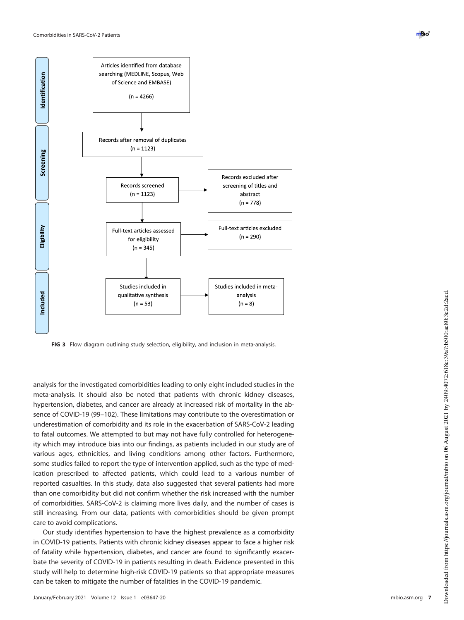

FIG 3 Flow diagram outlining study selection, eligibility, and inclusion in meta-analysis.

analysis for the investigated comorbidities leading to only eight included studies in the meta-analysis. It should also be noted that patients with chronic kidney diseases, hypertension, diabetes, and cancer are already at increased risk of mortality in the absence of COVID-19 (99–102). These limitations may contribute to the overestimation or underestimation of comorbidity and its role in the exacerbation of SARS-CoV-2 leading to fatal outcomes. We attempted to but may not have fully controlled for heterogeneity which may introduce bias into our findings, as patients included in our study are of various ages, ethnicities, and living conditions among other factors. Furthermore, some studies failed to report the type of intervention applied, such as the type of medication prescribed to affected patients, which could lead to a various number of reported casualties. In this study, data also suggested that several patients had more than one comorbidity but did not confirm whether the risk increased with the number of comorbidities. SARS-CoV-2 is claiming more lives daily, and the number of cases is still increasing. From our data, patients with comorbidities should be given prompt care to avoid complications.

Our study identifies hypertension to have the highest prevalence as a comorbidity in COVID-19 patients. Patients with chronic kidney diseases appear to face a higher risk of fatality while hypertension, diabetes, and cancer are found to significantly exacerbate the severity of COVID-19 in patients resulting in death. Evidence presented in this study will help to determine high-risk COVID-19 patients so that appropriate measures can be taken to mitigate the number of fatalities in the COVID-19 pandemic.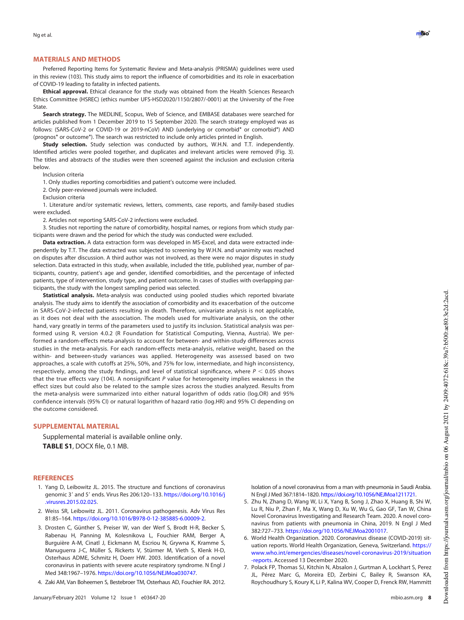#### MATERIALS AND METHODS

Preferred Reporting Items for Systematic Review and Meta-analysis (PRISMA) guidelines were used in this review (103). This study aims to report the influence of comorbidities and its role in exacerbation of COVID-19 leading to fatality in infected patients.

Ethical approval. Ethical clearance for the study was obtained from the Health Sciences Research Ethics Committee (HSREC) (ethics number UFS-HSD2020/1150/2807/-0001) at the University of the Free State.

Search strategy. The MEDLINE, Scopus, Web of Science, and EMBASE databases were searched for articles published from 1 December 2019 to 15 September 2020. The search strategy employed was as follows: (SARS-CoV-2 or COVID-19 or 2019-nCoV) AND (underlying or comorbid\* or comorbid\*) AND (prognos\* or outcome\*). The search was restricted to include only articles printed in English.

**Study selection.** Study selection was conducted by authors, W.H.N. and T.T. independently. Identified articles were pooled together, and duplicates and irrelevant articles were removed (Fig. 3). The titles and abstracts of the studies were then screened against the inclusion and exclusion criteria below.

Inclusion criteria

1. Only studies reporting comorbidities and patient's outcome were included.

2. Only peer-reviewed journals were included.

Exclusion criteria

1. Literature and/or systematic reviews, letters, comments, case reports, and family-based studies were excluded.

2. Articles not reporting SARS-CoV-2 infections were excluded.

3. Studies not reporting the nature of comorbidity, hospital names, or regions from which study participants were drawn and the period for which the study was conducted were excluded.

**Data extraction.** A data extraction form was developed in MS-Excel, and data were extracted independently by T.T. The data extracted was subjected to screening by W.H.N. and unanimity was reached on disputes after discussion. A third author was not involved, as there were no major disputes in study selection. Data extracted in this study, when available, included the title, published year, number of participants, country, patient's age and gender, identified comorbidities, and the percentage of infected patients, type of intervention, study type, and patient outcome. In cases of studies with overlapping participants, the study with the longest sampling period was selected.

Statistical analysis. Meta-analysis was conducted using pooled studies which reported bivariate analysis. The study aims to identify the association of comorbidity and its exacerbation of the outcome in SARS-CoV-2-infected patients resulting in death. Therefore, univariate analysis is not applicable, as it does not deal with the association. The models used for multivariate analysis, on the other hand, vary greatly in terms of the parameters used to justify its inclusion. Statistical analysis was performed using R, version 4.0.2 (R Foundation for Statistical Computing, Vienna, Austria). We performed a random-effects meta-analysis to account for between- and within-study differences across studies in the meta-analysis. For each random-effects meta-analysis, relative weight, based on the within- and between-study variances was applied. Heterogeneity was assessed based on two approaches, a scale with cutoffs at 25%, 50%, and 75% for low, intermediate, and high inconsistency, respectively, among the study findings, and level of statistical significance, where  $P < 0.05$  shows that the true effects vary (104). A nonsignificant  $P$  value for heterogeneity implies weakness in the effect sizes but could also be related to the sample sizes across the studies analyzed. Results from the meta-analysis were summarized into either natural logarithm of odds ratio (log.OR) and 95% confidence intervals (95% CI) or natural logarithm of hazard ratio (log.HR) and 95% CI depending on the outcome considered.

## SUPPLEMENTAL MATERIAL

Supplemental material is available online only. TABLE S1, DOCX file, 0.1 MB.

#### **REFERENCES**

- 1. Yang D, Leibowitz JL. 2015. The structure and functions of coronavirus genomic 3' and 5' ends. Virus Res 206:120-133. https://doi.org/10.1016/j .virusres.2015.02.025.
- 2. Weiss SR, Leibowitz JL. 2011. Coronavirus pathogenesis. Adv Virus Res 81:85–164. https://doi.org/10.1016/B978-0-12-385885-6.00009-2.
- 3. Drosten C, Günther S, Preiser W, van der Werf S, Brodt H-R, Becker S, Rabenau H, Panning M, Kolesnikova L, Fouchier RAM, Berger A, Burguière A-M, Cinatl J, Eickmann M, Escriou N, Grywna K, Kramme S, Manuguerra J-C, Müller S, Rickerts V, Stürmer M, Vieth S, Klenk H-D, Osterhaus ADME, Schmitz H, Doerr HW. 2003. Identification of a novel coronavirus in patients with severe acute respiratory syndrome. N Engl J Med 348:1967–1976. https://doi.org/10.1056/NEJMoa030747.
- 4. Zaki AM, Van Boheemen S, Bestebroer TM, Osterhaus AD, Fouchier RA. 2012.

Isolation of a novel coronavirus from a man with pneumonia in Saudi Arabia. N Engl J Med 367:1814–1820. https://doi.org/10.1056/NEJMoa1211721.

- 5. Zhu N, Zhang D, Wang W, Li X, Yang B, Song J, Zhao X, Huang B, Shi W, Lu R, Niu P, Zhan F, Ma X, Wang D, Xu W, Wu G, Gao GF, Tan W, China Novel Coronavirus Investigating and Research Team. 2020. A novel coronavirus from patients with pneumonia in China, 2019. N Engl J Med 382:727–733. https://doi.org/10.1056/NEJMoa2001017.
- 6. World Health Organization. 2020. Coronavirus disease (COVID-2019) situation reports. World Health Organization, Geneva, Switzerland. https:// www.who.int/emergencies/diseases/novel-coronavirus-2019/situation -reports. Accessed 13 December 2020.
- 7. Polack FP, Thomas SJ, Kitchin N, Absalon J, Gurtman A, Lockhart S, Perez JL, Pérez Marc G, Moreira ED, Zerbini C, Bailey R, Swanson KA, Roychoudhury S, Koury K, Li P, Kalina WV, Cooper D, Frenck RW, Hammitt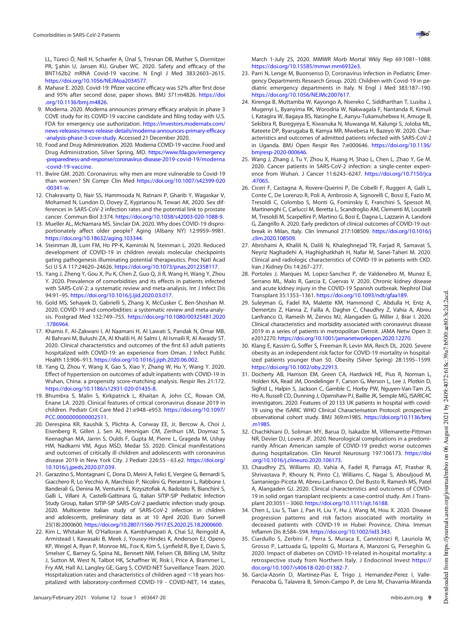LL, Türeci Ö, Nell H, Schaefer A, Ünal S, Tresnan DB, Mather S, Dormitzer PR, Sahin U, Jansen KU, Gruber WC. 2020. Safety and efficacy of the BNT162b2 mRNA Covid-19 vaccine. N Engl J Med 383:2603–2615. https://doi.org/10.1056/NEJMoa2034577.

- 8. Mahase E. 2020. Covid-19: Pfizer vaccine efficacy was 52% after first dose and 95% after second dose, paper shows. BMJ 371:m4826. https://doi .org/10.1136/bmj.m4826.
- 9. Moderna. 2020. Moderna announces primary efficacy analysis in phase 3 COVE study for its COVID-19 vaccine candidate and filing today with U.S. FDA for emergency use authorization. https://investors.modernatx.com/ news-releases/news-release-details/moderna-announces-primary-efficacy -analysis-phase-3-cove-study. Accessed 21 December 2020.
- 10. Food and Drug Administration. 2020. Moderna COVID-19 vaccine. Food and Drug Administration, Silver Spring, MD. https://www.fda.gov/emergency -preparedness-and-response/coronavirus-disease-2019-covid-19/moderna -covid-19-vaccine.
- 11. Bwire GM. 2020. Coronavirus: why men are more vulnerable to Covid-19 than women? SN Compr Clin Med https://doi.org/10.1007/s42399-020 -00341-w.
- 12. Chakravarty D, Nair SS, Hammouda N, Ratnani P, Gharib Y, Wagaskar V, Mohamed N, Lundon D, Dovey Z, Kyprianou N, Tewari AK. 2020. Sex differences in SARS-CoV-2 infection rates and the potential link to prostate cancer. Commun Biol 3:374. https://doi.org/10.1038/s42003-020-1088-9.
- 13. Mueller AL, McNamara MS, Sinclair DA. 2020. Why does COVID-19 disproportionately affect older people? Aging (Albany NY) 12:9959–9981. https://doi.org/10.18632/aging.103344.
- 14. Steinman JB, Lum FM, Ho PP-K, Kaminski N, Steinman L. 2020. Reduced development of COVID-19 in children reveals molecular checkpoints gating pathogenesis illuminating potential therapeutics. Proc Natl Acad Sci U S A 117:24620–24626. https://doi.org/10.1073/pnas.2012358117.
- 15. Yang J, Zheng Y, Gou X, Pu K, Chen Z, Guo Q, Ji R, Wang H, Wang Y, Zhou Y. 2020. Prevalence of comorbidities and its effects in patients infected with SARS-CoV-2: a systematic review and meta-analysis. Int J Infect Dis 94:91–95. https://doi.org/10.1016/j.ijid.2020.03.017.
- 16. Gold MS, Sehayek D, Gabrielli S, Zhang X, McCusker C, Ben-Shoshan M. 2020. COVID-19 and comorbidities: a systematic review and meta-analysis. Postgrad Med 132:749–755. https://doi.org/10.1080/00325481.2020 .1786964.
- 17. Khamis F, Al-Zakwani I, Al Naamani H, Al Lawati S, Pandak N, Omar MB, Al Bahrani M, Bulushi ZA, Al Khalili H, Al Salmi I, Al Ismaili R, Al Awaidy ST. 2020. Clinical characteristics and outcomes of the first 63 adult patients hospitalized with COVID-19: an experience from Oman. J Infect Public Health 13:906–913. https://doi.org/10.1016/j.jiph.2020.06.002.
- 18. Yang Q, Zhou Y, Wang X, Gao S, Xiao Y, Zhang W, Hu Y, Wang Y. 2020. Effect of hypertension on outcomes of adult inpatients with COVID-19 in Wuhan, China: a propensity score-matching analysis. Respir Res 21:172. https://doi.org/10.1186/s12931-020-01435-8.
- 19. Bhumbra S, Malin S, Kirkpatrick L, Khaitan A, John CC, Rowan CM, Enane LA. 2020. Clinical features of critical coronavirus disease 2019 in children. Pediatr Crit Care Med 21:e948–e953. https://doi.org/10.1097/ PCC.0000000000002511.
- 20. Derespina KR, Kaushik S, Plichta A, Conway EE, Jr, Bercow A, Choi J, Eisenberg R, Gillen J, Sen AI, Hennigan CM, Zerihun LM, Doymaz S, Keenaghan MA, Jarrin S, Oulds F, Gupta M, Pierre L, Grageda M, Ushay HM, Nadkarni VM, Agus MSD, Medar SS. 2020. Clinical manifestations and outcomes of critically ill children and adolescents with coronavirus disease 2019 in New York City. J Pediatr 226:55-63.e2. https://doi.org/ 10.1016/j.jpeds.2020.07.039.
- 21. Garazzino S, Montagnani C, Dona D, Meini A, Felici E, Vergine G, Bernardi S, Giacchero R, Lo Vecchio A, Marchisio P, Nicolini G, Pierantoni L, Rabbone I, Banderali G, Denina M, Venturini E, Krzysztofiak A, Badolato R, Bianchini S, Galli L, Villani A, Castelli-Gattinara G, Italian SITIP-SIP Pediatric Infection Study Group, Italian SITIP-SIP SARS-CoV-2 paediatric infection study group. 2020. Multicentre Italian study of SARS-CoV-2 infection in children and adolescents, preliminary data as at 10 April 2020. Euro Surveill 25(18):2000600. https://doi.org/10.2807/1560-7917.ES.2020.25.18.2000600.
- 22. Kim L, Whitaker M, O'Halloran A, Kambhampati A, Chai SJ, Reingold A, Armistead I, Kawasaki B, Meek J, Yousey-Hindes K, Anderson EJ, Openo KP, Weigel A, Ryan P, Monroe ML, Fox K, Kim S, Lynfield R, Bye E, Davis S, Smelser C, Barney G, Spina NL, Bennett NM, Felsen CB, Billing LM, Shiltz J, Sutton M, West N, Talbot HK, Schaffner W, Risk I, Price A, Brammer L, Fry AM, Hall AJ, Langley GE, Garg S, COVID-NET Surveillance Team. 2020. Hospitalization rates and characteristics of children aged  $\leq$ 18 years hospitalized with laboratory-confirmed COVID-19 - COVID-NET, 14 states,
- 23. Parri N, Lenge M, Buonsenso D, Coronavirus Infection in Pediatric Emergency Departments Research Group. 2020. Children with Covid-19 in pediatric emergency departments in Italy. N Engl J Med 383:187–190. https://doi.org/10.1056/NEJMc2007617.
- 24. Kirenga B, Muttamba W, Kayongo A, Nsereko C, Siddharthan T, Lusiba J, Mugenyi L, Byanyima RK, Worodria W, Nakwagala F, Nantanda R, Kimuli I, Katagira W, Bagaya BS, Nasinghe E, Aanyu-Tukamuhebwa H, Amuge B, Sekibira R, Buregyeya E, Kiwanuka N, Muwanga M, Kalungi S, Joloba ML, Kateete DP, Byarugaba B, Kamya MR, Mwebesa H, Bazeyo W. 2020. Characteristics and outcomes of admitted patients infected with SARS-CoV-2 in Uganda. BMJ Open Respir Res 7:e000646. https://doi.org/10.1136/ bmjresp-2020-000646.
- 25. Wang J, Zhang J, Tu Y, Zhou X, Huang H, Shao L, Chen L, Zhao Y, Ge M. 2020. Cancer patients in SARS-CoV-2 infection: a single-center experience from Wuhan. J Cancer 11:6243–6247. https://doi.org/10.7150/jca .47065.
- 26. Ciceri F, Castagna A, Rovere-Querini P, De Cobelli F, Ruggeri A, Galli L, Conte C, De Lorenzo R, Poli A, Ambrosio A, Signorelli C, Bossi E, Fazio M, Tresoldi C, Colombo S, Monti G, Fominskiy E, Franchini S, Spessot M, Martinenghi C, Carlucci M, Beretta L, Scandroglio AM, Clementi M, Locatelli M, Tresoldi M, Scarpellini P, Martino G, Bosi E, Dagna L, Lazzarin A, Landoni G, Zangrillo A. 2020. Early predictors of clinical outcomes of COVID-19 outbreak in Milan, Italy. Clin Immunol 217:108509. https://doi.org/10.1016/j .clim.2020.108509.
- 27. Abrishami A, Khalili N, Dalili N, Khaleghnejad TR, Farjad R, Samavat S, Neyriz Naghadehi A, Haghighatkhah H, Nafar M, Sanei-Taheri M. 2020. Clinical and radiologic characteristics of COVID-19 in patients with CKD. Iran J Kidney Dis 14:267–277.
- 28. Portoles J, Marques M, Lopez-Sanchez P, de Valdenebro M, Munez E, Serrano ML, Malo R, Garcia E, Cuervas V. 2020. Chronic kidney disease and acute kidney injury in the COVID-19 Spanish outbreak. Nephrol Dial Transplant 35:1353–1361. https://doi.org/10.1093/ndt/gfaa189.
- 29. Suleyman G, Fadel RA, Malette KM, Hammond C, Abdulla H, Entz A, Demertzis Z, Hanna Z, Failla A, Dagher C, Chaudhry Z, Vahia A, Abreu Lanfranco O, Ramesh M, Zervos MJ, Alangaden G, Miller J, Brar I. 2020. Clinical characteristics and morbidity associated with coronavirus disease 2019 in a series of patients in metropolitan Detroit. JAMA Netw Open 3: e2012270. https://doi.org/10.1001/jamanetworkopen.2020.12270.
- 30. Klang E, Kassim G, Soffer S, Freeman R, Levin MA, Reich DL. 2020. Severe obesity as an independent risk factor for COVID-19 mortality in hospitalized patients younger than 50. Obesity (Silver Spring) 28:1595–1599. https://doi.org/10.1002/oby.22913.
- 31. Docherty AB, Harrison EM, Green CA, Hardwick HE, Pius R, Norman L, Holden KA, Read JM, Dondelinger F, Carson G, Merson L, Lee J, Plotkin D, Sigfrid L, Halpin S, Jackson C, Gamble C, Horby PW, Nguyen-Van-Tam JS, Ho A, Russell CD, Dunning J, Openshaw PJ, Baillie JK, Semple MG, ISARIC4C investigators. 2020. Features of 20 133 UK patients in hospital with covid-19 using the ISARIC WHO Clinical Characterisation Protocol: prospective observational cohort study. BMJ 369:m1985. https://doi.org/10.1136/bmj .m1985.
- 32. Chachkhiani D, Soliman MY, Barua D, Isakadze M, Villemarette-Pittman NR, Devier DJ, Lovera JF. 2020. Neurological complications in a predominantly African American sample of COVID-19 predict worse outcomes during hospitalization. Clin Neurol Neurosurg 197:106173. https://doi .org/10.1016/j.clineuro.2020.106173.
- 33. Chaudhry ZS, Williams JD, Vahia A, Fadel R, Parraga AT, Prashar R, Shrivastava P, Khoury N, Pinto CJ, Williams C, Nagai S, Abouljoud M, Samaniego-Picota M, Abreu-Lanfranco O, Del Busto R, Ramesh MS, Patel A, Alangaden GJ. 2020. Clinical characteristics and outcomes of COVID-19 in solid organ transplant recipients: a case-control study. Am J Transplant 20:3051-3060. https://doi.org/10.1111/ajt.16188.
- 34. Chen L, Liu S, Tian J, Pan H, Liu Y, Hu J, Wang M, Hou X. 2020. Disease progression patterns and risk factors associated with mortality in deceased patients with COVID-19 in Hubei Province, China. Immun Inflamm Dis 8:584–594. https://doi.org/10.1002/iid3.343.
- 35. Ciardullo S, Zerbini F, Perra S, Muraca E, Cannistraci R, Lauriola M, Grosso P, Lattuada G, Ippoliti G, Mortara A, Manzoni G, Perseghin G. 2020. Impact of diabetes on COVID-19-related in-hospital mortality: a retrospective study from Northern Italy. J Endocrinol Invest https:// doi.org/10.1007/s40618-020-01382-7.
- 36. Garcia-Azorin D, Martinez-Pias E, Trigo J, Hernandez-Perez I, Valle-Penacoba G, Talavera B, Simon-Campo P, de Lera M, Chavarria-Miranda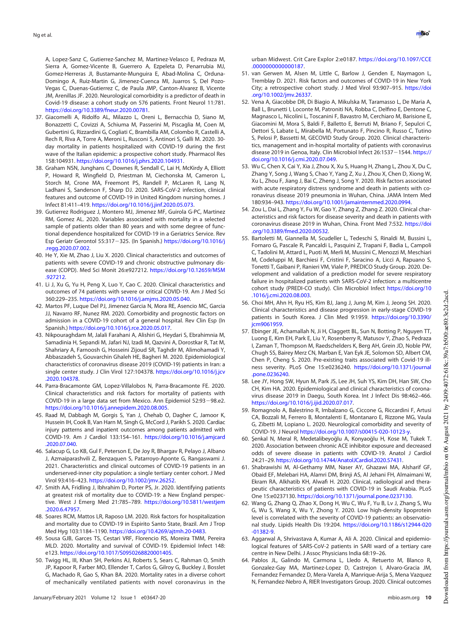A, Lopez-Sanz C, Gutierrez-Sanchez M, Martinez-Velasco E, Pedraza M, Sierra A, Gomez-Vicente B, Guerrero A, Ezpeleta D, Penarrubia MJ, Gomez-Herreras JI, Bustamante-Munguira E, Abad-Molina C, Orduna-Domingo A, Ruiz-Martin G, Jimenez-Cuenca MI, Juarros S, Del Pozo-Vegas C, Duenas-Gutierrez C, de Paula JMP, Canton-Alvarez B, Vicente JM, Arenillas JF. 2020. Neurological comorbidity is a predictor of death in Covid-19 disease: a cohort study on 576 patients. Front Neurol 11:781. https://doi.org/10.3389/fneur.2020.00781.

- 37. Giacomelli A, Ridolfo AL, Milazzo L, Oreni L, Bernacchia D, Siano M, Bonazzetti C, Covizzi A, Schiuma M, Passerini M, Piscaglia M, Coen M, Gubertini G, Rizzardini G, Cogliati C, Brambilla AM, Colombo R, Castelli A, Rech R, Riva A, Torre A, Meroni L, Rusconi S, Antinori S, Galli M. 2020. 30 day mortality in patients hospitalized with COVID-19 during the first wave of the Italian epidemic: a prospective cohort study. Pharmacol Res 158:104931. https://doi.org/10.1016/j.phrs.2020.104931.
- 38. Graham NSN, Junghans C, Downes R, Sendall C, Lai H, McKirdy A, Elliott P, Howard R, Wingfield D, Priestman M, Ciechonska M, Cameron L, Storch M, Crone MA, Freemont PS, Randell P, McLaren R, Lang N, Ladhani S, Sanderson F, Sharp DJ. 2020. SARS-CoV-2 infection, clinical features and outcome of COVID-19 in United Kingdom nursing homes. J Infect 81:411–419. https://doi.org/10.1016/j.jinf.2020.05.073.
- 39. Gutierrez Rodriguez J, Montero MJ, Jimenez MF, Guirola G-PC, Martinez RM, Gomez AL. 2020. Variables associated with mortality in a selected sample of patients older than 80 years and with some degree of functional dependence hospitalized for COVID-19 in a Geriatrics Service. Rev Esp Geriatr Gerontol 55:317-325. (In Spanish.) https://doi.org/10.1016/j .regg.2020.07.002.
- 40. He Y, Xie M, Zhao J, Liu X. 2020. Clinical characteristics and outcomes of patients with severe COVID-19 and chronic obstructive pulmonary disease (COPD). Med Sci Monit 26:e927212. https://doi.org/10.12659/MSM .927212.
- 41. Li J, Xu G, Yu H, Peng X, Luo Y, Cao C. 2020. Clinical characteristics and outcomes of 74 patients with severe or critical COVID-19. Am J Med Sci 360:229–235. https://doi.org/10.1016/j.amjms.2020.05.040.
- 42. Martos PF, Luque Del PJ, Jimenez Garcia N, Mora RE, Asencio MC, Garcia JJ, Navarro RF, Nunez RM. 2020. Comorbidity and prognostic factors on admission in a COVID-19 cohort of a general hospital. Rev Clin Esp (In Spanish.) https://doi.org/10.1016/j.rce.2020.05.017.
- 43. Nikpouraghdam M, Jalali Farahani A, Alishiri G, Heydari S, Ebrahimnia M, Samadinia H, Sepandi M, Jafari NJ, Izadi M, Qazvini A, Dorostkar R, Tat M, Shahriary A, Farnoosh G, Hosseini Zijoud SR, Taghdir M, Alimohamadi Y, Abbaszadeh S, Gouvarchin Ghaleh HE, Bagheri M. 2020. Epidemiological characteristics of coronavirus disease 2019 (COVID-19) patients in Iran: a single center study. J Clin Virol 127:104378. https://doi.org/10.1016/j.jcv .2020.104378.
- 44. Parra-Bracamonte GM, Lopez-Villalobos N, Parra-Bracamonte FE. 2020. Clinical characteristics and risk factors for mortality of patients with COVID-19 in a large data set from Mexico. Ann Epidemiol 52:93-98.e2. https://doi.org/10.1016/j.annepidem.2020.08.005.
- 45. Raad M, Dabbagh M, Gorgis S, Yan J, Chehab O, Dagher C, Jamoor K, Hussein IH, Cook B, Van Harn M, Singh G, McCord J, Parikh S. 2020. Cardiac injury patterns and inpatient outcomes among patients admitted with COVID-19. Am J Cardiol 133:154–161. https://doi.org/10.1016/j.amjcard .2020.07.040.
- 46. Salacup G, Lo KB, Gul F, Peterson E, De Joy R, Bhargav R, Pelayo J, Albano J, Azmaiparashvili Z, Benzaquen S, Patarroyo-Aponte G, Rangaswami J. 2021. Characteristics and clinical outcomes of COVID-19 patients in an underserved-inner city population: a single tertiary center cohort. J Med Virol 93:416–423. https://doi.org/10.1002/jmv.26252.
- 47. Smith AA, Fridling J, Ibhrahim D, Porter PS, Jr. 2020. Identifying patients at greatest risk of mortality due to COVID-19: a New England perspective. West J Emerg Med 21:785–789. https://doi.org/10.5811/westjem .2020.6.47957.
- 48. Soares RCM, Mattos LR, Raposo LM. 2020. Risk factors for hospitalization and mortality due to COVID-19 in Espirito Santo State, Brazil. Am J Trop Med Hyg 103:1184–1190. https://doi.org/10.4269/ajtmh.20-0483.
- 49. Sousa GJB, Garces TS, Cestari VRF, Florencio RS, Moreira TMM, Pereira MLD. 2020. Mortality and survival of COVID-19. Epidemiol Infect 148: e123. https://doi.org/10.1017/S0950268820001405.
- 50. Twigg HL, III, Khan SH, Perkins AJ, Roberts S, Sears C, Rahman O, Smith JP, Kapoor R, Farber MO, Ellender T, Carlos G, Gilroy G, Buckley J, Bosslet G, Machado R, Gao S, Khan BA. 2020. Mortality rates in a diverse cohort of mechanically ventilated patients with novel coronavirus in the

urban Midwest. Crit Care Explor 2:e0187. https://doi.org/10.1097/CCE .0000000000000187.

- 51. van Gerwen M, Alsen M, Little C, Barlow J, Genden E, Naymagon L, Tremblay D. 2021. Risk factors and outcomes of COVID-19 in New York City; a retrospective cohort study. J Med Virol 93:907–915. https://doi .org/10.1002/jmv.26337.
- 52. Vena A, Giacobbe DR, Di Biagio A, Mikulska M, Taramasso L, De Maria A, Ball L, Brunetti I, Loconte M, Patroniti NA, Robba C, Delfino E, Dentone C, Magnasco L, Nicolini L, Toscanini F, Bavastro M, Cerchiaro M, Barisione E, Giacomini M, Mora S, Baldi F, Balletto E, Berruti M, Briano F, Sepulcri C, Dettori S, Labate L, Mirabella M, Portunato F, Pincino R, Russo C, Tutino S, Pelosi P, Bassetti M, GECOVID Study Group. 2020. Clinical characteristics, management and in-hospital mortality of patients with coronavirus disease 2019 in Genoa, Italy. Clin Microbiol Infect 26:1537 - 1544. https:// doi.org/10.1016/j.cmi.2020.07.049.
- 53. Wu C, Chen X, Cai Y, Xia J, Zhou X, Xu S, Huang H, Zhang L, Zhou X, Du C, Zhang Y, Song J, Wang S, Chao Y, Yang Z, Xu J, Zhou X, Chen D, Xiong W, Xu L, Zhou F, Jiang J, Bai C, Zheng J, Song Y. 2020. Risk factors associated with acute respiratory distress syndrome and death in patients with coronavirus disease 2019 pneumonia in Wuhan, China. JAMA Intern Med 180:934–943. https://doi.org/10.1001/jamainternmed.2020.0994.
- 54. Zou L, Dai L, Zhang Y, Fu W, Gao Y, Zhang Z, Zhang Z. 2020. Clinical characteristics and risk factors for disease severity and death in patients with coronavirus disease 2019 in Wuhan, China. Front Med 7:532. https://doi .org/10.3389/fmed.2020.00532.
- 55. Bartoletti M, Giannella M, Scudeller L, Tedeschi S, Rinaldi M, Bussini L, Fornaro G, Pascale R, Pancaldi L, Pasquini Z, Trapani F, Badia L, Campoli C, Tadolini M, Attard L, Puoti M, Merli M, Mussini C, Menozzi M, Meschiari M, Codeluppi M, Barchiesi F, Cristini F, Saracino A, Licci A, Rapuano S, Tonetti T, Gaibani P, Ranieri VM, Viale P, PREDICO Study Group. 2020. Development and validation of a prediction model for severe respiratory failure in hospitalized patients with SARS-CoV-2 infection: a multicentre cohort study (PREDI-CO study). Clin Microbiol Infect https://doi.org/10 .1016/j.cmi.2020.08.003.
- 56. Choi MH, Ahn H, Ryu HS, Kim BJ, Jang J, Jung M, Kim J, Jeong SH. 2020. Clinical characteristics and disease progression in early-stage COVID-19 patients in South Korea. J Clin Med 9:1959. https://doi.org/10.3390/ jcm9061959.
- 57. Ebinger JE, Achamallah N, Ji H, Claggett BL, Sun N, Botting P, Nguyen TT, Luong E, Kim EH, Park E, Liu Y, Rosenberry R, Matusov Y, Zhao S, Pedraza I, Zaman T, Thompson M, Raedschelders K, Berg AH, Grein JD, Noble PW, Chugh SS, Bairey Merz CN, Marban E, Van Eyk JE, Solomon SD, Albert CM, Chen P, Cheng S. 2020. Pre-existing traits associated with Covid-19 illness severity. PLoS One 15:e0236240. https://doi.org/10.1371/journal .pone.0236240.
- 58. Lee JY, Hong SW, Hyun M, Park JS, Lee JH, Suh YS, Kim DH, Han SW, Cho CH, Kim HA. 2020. Epidemiological and clinical characteristics of coronavirus disease 2019 in Daegu, South Korea. Int J Infect Dis 98:462–466. https://doi.org/10.1016/j.ijid.2020.07.017.
- 59. Romagnolo A, Balestrino R, Imbalzano G, Ciccone G, Riccardini F, Artusi CA, Bozzali M, Ferrero B, Montalenti E, Montanaro E, Rizzone MG, Vaula G, Zibetti M, Lopiano L. 2020. Neurological comorbidity and severity of COVID-19. J Neurol https://doi.org/10.1007/s00415-020-10123-y.
- 60. Şenkal N, Meral R, Medetalibeyoğlu A, Konyaoğlu H, Kose M, Tukek T. 2020. Association between chronic ACE inhibitor exposure and decreased odds of severe disease in patients with COVID-19. Anatol J Cardiol 24:21–29. https://doi.org/10.14744/AnatolJCardiol.2020.57431.
- 61. Shabrawishi M, Al-Gethamy MM, Naser AY, Ghazawi MA, Alsharif GF, Obaid EF, Melebari HA, Alamri DM, Brinji AS, Al Jehani FH, Almaimani W, Ekram RA, Alkhatib KH, Alwafi H. 2020. Clinical, radiological and therapeutic characteristics of patients with COVID-19 in Saudi Arabia. PLoS One 15:e0237130. https://doi.org/10.1371/journal.pone.0237130.
- 62. Wang G, Zhang Q, Zhao X, Dong H, Wu C, Wu F, Yu B, Lv J, Zhang S, Wu G, Wu S, Wang X, Wu Y, Zhong Y. 2020. Low high-density lipoprotein level is correlated with the severity of COVID-19 patients: an observational study. Lipids Health Dis 19:204. https://doi.org/10.1186/s12944-020 -01382-9.
- 63. Aggarwal A, Shrivastava A, Kumar A, Ali A. 2020. Clinical and epidemiological features of SARS-CoV-2 patients in SARI ward of a tertiary care centre in New Delhi. J Assoc Physicians India 68:19–26.
- 64. Pablos JL, Galindo M, Carmona L, Lledo A, Retuerto M, Blanco R, Gonzalez-Gay MA, Martinez-Lopez D, Castrejon I, Alvaro-Gracia JM, Fernandez Fernandez D, Mera-Varela A, Manrique-Arija S, Mena Vazquez N, Fernandez-Nebro A, RIER Investigators Group. 2020. Clinical outcomes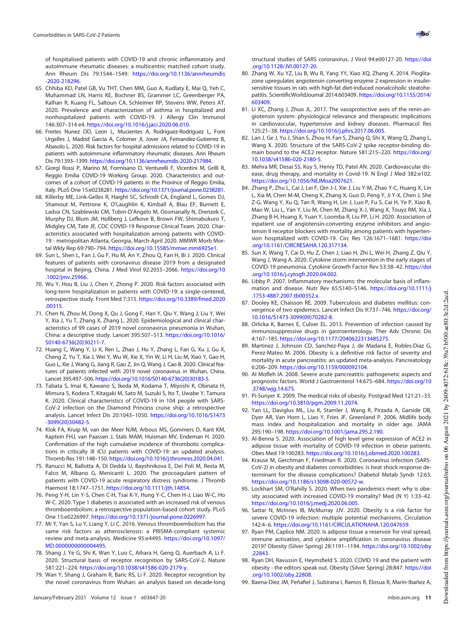of hospitalised patients with COVID-19 and chronic inflammatory and autoimmune rheumatic diseases: a multicentric matched cohort study. Ann Rheum Dis 79:1544–1549. https://doi.org/10.1136/annrheumdis -2020-218296.

- 65. Chhiba KD, Patel GB, Vu THT, Chen MM, Guo A, Kudlaty E, Mai Q, Yeh C, Muhammad LN, Harris KE, Bochner BS, Grammer LC, Greenberger PA, Kalhan R, Kuang FL, Saltoun CA, Schleimer RP, Stevens WW, Peters AT. 2020. Prevalence and characterization of asthma in hospitalized and nonhospitalized patients with COVID-19. J Allergy Clin Immunol 146:307–314 e4. https://doi.org/10.1016/j.jaci.2020.06.010.
- 66. Freites Nunez DD, Leon L, Mucientes A, Rodriguez-Rodriguez L, Font Urgelles J, Madrid Garcia A, Colomer JI, Jover JA, Fernandez-Gutierrez B, Abasolo L. 2020. Risk factors for hospital admissions related to COVID-19 in patients with autoimmune inflammatory rheumatic diseases. Ann Rheum Dis 79:1393–1399. https://doi.org/10.1136/annrheumdis-2020-217984.
- 67. Giorgi Rossi P, Marino M, Formisano D, Venturelli F, Vicentini M, Grilli R, Reggio Emilia COVID-19 Working Group. 2020. Characteristics and outcomes of a cohort of COVID-19 patients in the Province of Reggio Emilia, Italy. PLoS One 15:e0238281. https://doi.org/10.1371/journal.pone.0238281.
- 68. Killerby ME, Link-Gelles R, Haight SC, Schrodt CA, England L, Gomes DJ, Shamout M, Pettrone K, O'Laughlin K, Kimball A, Blau EF, Burnett E, Ladva CN, Szablewski CM, Tobin-D'Angelo M, Oosmanally N, Drenzek C, Murphy DJ, Blum JM, Hollberg J, Lefkove B, Brown FW, Shimabukuro T, Midgley CM, Tate JE, CDC COVID-19 Response Clinical Team. 2020. Characteristics associated with hospitalization among patients with COVID-19 - metropolitan Atlanta, Georgia, March-April 2020. MMWR Morb Mortal Wkly Rep 69:790–794. https://doi.org/10.15585/mmwr.mm6925e1.
- 69. Sun L, Shen L, Fan J, Gu F, Hu M, An Y, Zhou Q, Fan H, Bi J. 2020. Clinical features of patients with coronavirus disease 2019 from a designated hospital in Beijing, China. J Med Virol 92:2055–2066. https://doi.org/10 .1002/jmv.25966.
- 70. Wu Y, Hou B, Liu J, Chen Y, Zhong P. 2020. Risk factors associated with long-term hospitalization in patients with COVID-19: a single-centered, retrospective study. Front Med 7:315. https://doi.org/10.3389/fmed.2020 .00315.
- 71. Chen N, Zhou M, Dong X, Qu J, Gong F, Han Y, Qiu Y, Wang J, Liu Y, Wei Y, Xia J, Yu T, Zhang X, Zhang L. 2020. Epidemiological and clinical characteristics of 99 cases of 2019 novel coronavirus pneumonia in Wuhan, China: a descriptive study. Lancet 395:507–513. https://doi.org/10.1016/ S0140-6736(20)30211-7.
- 72. Huang C, Wang Y, Li X, Ren L, Zhao J, Hu Y, Zhang L, Fan G, Xu J, Gu X, Cheng Z, Yu T, Xia J, Wei Y, Wu W, Xie X, Yin W, Li H, Liu M, Xiao Y, Gao H, Guo L, Xie J, Wang G, Jiang R, Gao Z, Jin Q, Wang J, Cao B. 2020. Clinical features of patients infected with 2019 novel coronavirus in Wuhan, China. Lancet 395:497–506. https://doi.org/10.1016/S0140-6736(20)30183-5.
- 73. Tabata S, Imai K, Kawano S, Ikeda M, Kodama T, Miyoshi K, Obinata H, Mimura S, Kodera T, Kitagaki M, Sato M, Suzuki S, Ito T, Uwabe Y, Tamura K. 2020. Clinical characteristics of COVID-19 in 104 people with SARS-CoV-2 infection on the Diamond Princess cruise ship: a retrospective analysis. Lancet Infect Dis 20:1043–1050. https://doi.org/10.1016/S1473 -3099(20)30482-5.
- 74. Klok FA, Kruip M, van der Meer NJM, Arbous MS, Gommers D, Kant KM, Kaptein FHJ, van Paassen J, Stals MAM, Huisman MV, Endeman H. 2020. Confirmation of the high cumulative incidence of thrombotic complications in critically ill ICU patients with COVID-19: an updated analysis. Thromb Res 191:148–150. https://doi.org/10.1016/j.thromres.2020.04.041.
- 75. Ranucci M, Ballotta A, Di Dedda U, Bayshnikova E, Dei Poli M, Resta M, Falco M, Albano G, Menicanti L. 2020. The procoagulant pattern of patients with COVID-19 acute respiratory distress syndrome. J Thromb Haemost 18:1747–1751. https://doi.org/10.1111/jth.14854.
- 76. Peng Y-H, Lin Y-S, Chen C-H, Tsai K-Y, Hung Y-C, Chen H-J, Liao W-C, Ho W-C. 2020. Type 1 diabetes is associated with an increased risk of venous thromboembolism: a retrospective population-based cohort study. PLoS One 15:e0226997. https://doi.org/10.1371/journal.pone.0226997.
- 77. Mi Y, Yan S, Lu Y, Liang Y, Li C. 2016. Venous thromboembolism has the same risk factors as atherosclerosis: a PRISMA-compliant systemic review and meta-analysis. Medicine 95:e4495. https://doi.org/10.1097/ MD.0000000000004495.
- 78. Shang J, Ye G, Shi K, Wan Y, Luo C, Aihara H, Geng Q, Auerbach A, Li F. 2020. Structural basis of receptor recognition by SARS-CoV-2. Nature 581:221–224. https://doi.org/10.1038/s41586-020-2179-y.
- 79. Wan Y, Shang J, Graham R, Baric RS, Li F. 2020. Receptor recognition by the novel coronavirus from Wuhan: an analysis based on decade-long

structural studies of SARS coronavirus. J Virol 94:e00127-20. https://doi .org/10.1128/JVI.00127-20.

- 80. Zhang W, Xu YZ, Liu B, Wu R, Yang YY, Xiao XQ, Zhang X. 2014. Pioglitazone upregulates angiotensin converting enzyme 2 expression in insulinsensitive tissues in rats with high-fat diet-induced nonalcoholic steatohepatitis. ScientificWorldJournal 2014:603409. https://doi.org/10.1155/2014/ 603409.
- 81. Li XC, Zhang J, Zhuo JL. 2017. The vasoprotective axes of the renin-angiotensin system: physiological relevance and therapeutic implications in cardiovascular, hypertensive and kidney diseases. Pharmacol Res 125:21–38. https://doi.org/10.1016/j.phrs.2017.06.005.
- 82. Lan J, Ge J, Yu J, Shan S, Zhou H, Fan S, Zhang Q, Shi X, Wang Q, Zhang L, Wang X. 2020. Structure of the SARS-CoV-2 spike receptor-binding domain bound to the ACE2 receptor. Nature 581:215–220. https://doi.org/ 10.1038/s41586-020-2180-5.
- 83. Mehra MR, Desai SS, Kuy S, Henry TD, Patel AN. 2020. Cardiovascular disease, drug therapy, and mortality in Covid-19. N Engl J Med 382:e102. https://doi.org/10.1056/NEJMoa2007621.
- 84. Zhang P, Zhu L, Cai J, Lei F, Qin J-J, Xie J, Liu Y-M, Zhao Y-C, Huang X, Lin L, Xia M, Chen M-M, Cheng X, Zhang X, Guo D, Peng Y, Ji Y-X, Chen J, She Z-G, Wang Y, Xu Q, Tan R, Wang H, Lin J, Luo P, Fu S, Cai H, Ye P, Xiao B, Mao W, Liu L, Yan Y, Liu M, Chen M, Zhang X-J, Wang X, Touyz RM, Xia J, Zhang B-H, Huang X, Yuan Y, Loomba R, Liu PP, Li H. 2020. Association of inpatient use of angiotensin-converting enzyme inhibitors and angiotensin II receptor blockers with mortality among patients with hypertension hospitalized with COVID-19. Circ Res 126:1671-1681. https://doi .org/10.1161/CIRCRESAHA.120.317134.
- 85. Sun X, Wang T, Cai D, Hu Z, Chen J, Liao H, Zhi L, Wei H, Zhang Z, Qiu Y, Wang J, Wang A. 2020. Cytokine storm intervention in the early stages of COVID-19 pneumonia. Cytokine Growth Factor Rev 53:38–42. https://doi .org/10.1016/j.cytogfr.2020.04.002.
- 86. Libby P. 2007. Inflammatory mechanisms: the molecular basis of inflammation and disease. Nutr Rev 65:S140–S146. https://doi.org/10.1111/j .1753-4887.2007.tb00352.x.
- 87. Dooley KE, Chaisson RE. 2009. Tuberculosis and diabetes mellitus: convergence of two epidemics. Lancet Infect Dis 9:737-746. https://doi.org/ 10.1016/S1473-3099(09)70282-8.
- 88. Orlicka K, Barnes E, Culver EL. 2013. Prevention of infection caused by immunosuppressive drugs in gastroenterology. Ther Adv Chronic Dis 4:167–185. https://doi.org/10.1177/2040622313485275.
- 89. Martinez J, Johnson CD, Sanchez-Paya J, de Madaria E, Robles-Diaz G, Perez-Mateo M. 2006. Obesity is a definitive risk factor of severity and mortality in acute pancreatitis: an updated meta-analysis. Pancreatology 6:206–209. https://doi.org/10.1159/000092104.
- 90. Al Mofleh IA. 2008. Severe acute pancreatitis: pathogenetic aspects and prognostic factors. World J Gastroenterol 14:675–684. https://doi.org/10 .3748/wjg.14.675.
- 91. Pi-Sunyer X. 2009. The medical risks of obesity. Postgrad Med 121:21–33. https://doi.org/10.3810/pgm.2009.11.2074.
- 92. Yan LL, Daviglus ML, Liu K, Stamler J, Wang R, Pirzada A, Garside DB, Dyer AR, Van Horn L, Liao Y, Fries JF, Greenland P. 2006. Midlife body mass index and hospitalization and mortality in older age. JAMA 295:190–198. https://doi.org/10.1001/jama.295.2.190.
- 93. Al-Benna S. 2020. Association of high level gene expression of ACE2 in adipose tissue with mortality of COVID-19 infection in obese patients. Obes Med 19:100283. https://doi.org/10.1016/j.obmed.2020.100283.
- 94. Krause M, Gerchman F, Friedman R. 2020. Coronavirus infection (SARS-CoV-2) in obesity and diabetes comorbidities: is heat shock response determinant for the disease complications? Diabetol Metab Syndr 12:63. https://doi.org/10.1186/s13098-020-00572-w.
- 95. Lockhart SM, O'Rahilly S. 2020. When two pandemics meet: why is obesity associated with increased COVID-19 mortality? Med (N Y) 1:33–42. https://doi.org/10.1016/j.medj.2020.06.005.
- 96. Sattar N, McInnes IB, McMurray JJV. 2020. Obesity is a risk factor for severe COVID-19 infection: multiple potential mechanisms. Circulation 142:4–6. https://doi.org/10.1161/CIRCULATIONAHA.120.047659.
- 97. Ryan PM, Caplice NM. 2020. Is adipose tissue a reservoir for viral spread, immune activation, and cytokine amplification in coronavirus disease 2019? Obesity (Silver Spring) 28:1191–1194. https://doi.org/10.1002/oby .22843.
- 98. Ryan DH, Ravussin E, Heymsfield S. 2020. COVID 19 and the patient with obesity - the editors speak out. Obesity (Silver Spring) 28:847. https://doi .org/10.1002/oby.22808.
- 99. Baena-Díez JM, Peñafiel J, Subirana I, Ramos R, Elosua R, Marín-Ibañez A,